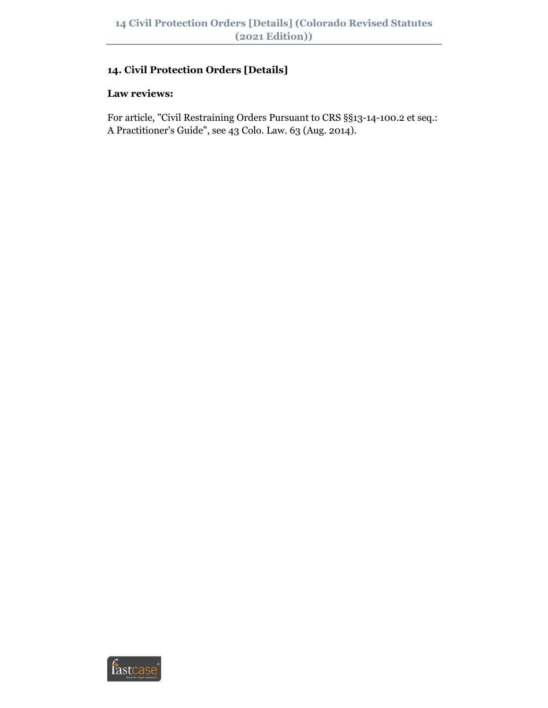## **14. Civil Protection Orders [Details]**

#### **Law reviews:**

For article, "Civil Restraining Orders Pursuant to CRS §§13-14-100.2 et seq.: A Practitioner's Guide", see 43 Colo. Law. 63 (Aug. 2014).

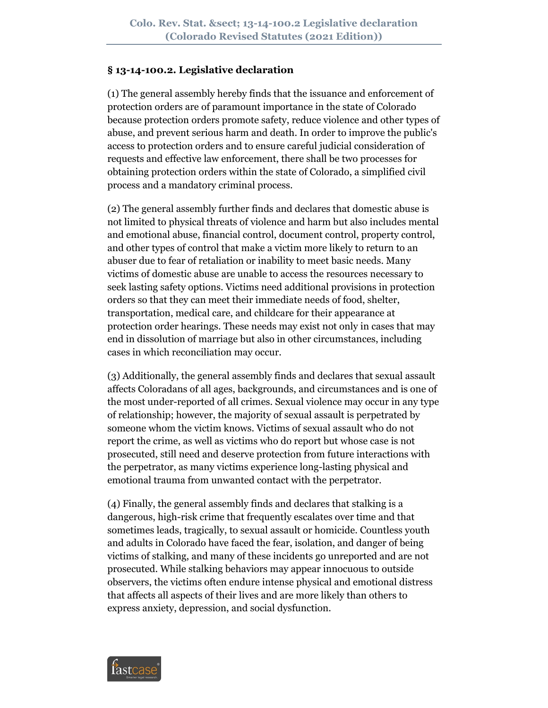#### **§ 13-14-100.2. Legislative declaration**

(1) The general assembly hereby finds that the issuance and enforcement of protection orders are of paramount importance in the state of Colorado because protection orders promote safety, reduce violence and other types of abuse, and prevent serious harm and death. In order to improve the public's access to protection orders and to ensure careful judicial consideration of requests and effective law enforcement, there shall be two processes for obtaining protection orders within the state of Colorado, a simplified civil process and a mandatory criminal process.

(2) The general assembly further finds and declares that domestic abuse is not limited to physical threats of violence and harm but also includes mental and emotional abuse, financial control, document control, property control, and other types of control that make a victim more likely to return to an abuser due to fear of retaliation or inability to meet basic needs. Many victims of domestic abuse are unable to access the resources necessary to seek lasting safety options. Victims need additional provisions in protection orders so that they can meet their immediate needs of food, shelter, transportation, medical care, and childcare for their appearance at protection order hearings. These needs may exist not only in cases that may end in dissolution of marriage but also in other circumstances, including cases in which reconciliation may occur.

(3) Additionally, the general assembly finds and declares that sexual assault affects Coloradans of all ages, backgrounds, and circumstances and is one of the most under-reported of all crimes. Sexual violence may occur in any type of relationship; however, the majority of sexual assault is perpetrated by someone whom the victim knows. Victims of sexual assault who do not report the crime, as well as victims who do report but whose case is not prosecuted, still need and deserve protection from future interactions with the perpetrator, as many victims experience long-lasting physical and emotional trauma from unwanted contact with the perpetrator.

(4) Finally, the general assembly finds and declares that stalking is a dangerous, high-risk crime that frequently escalates over time and that sometimes leads, tragically, to sexual assault or homicide. Countless youth and adults in Colorado have faced the fear, isolation, and danger of being victims of stalking, and many of these incidents go unreported and are not prosecuted. While stalking behaviors may appear innocuous to outside observers, the victims often endure intense physical and emotional distress that affects all aspects of their lives and are more likely than others to express anxiety, depression, and social dysfunction.

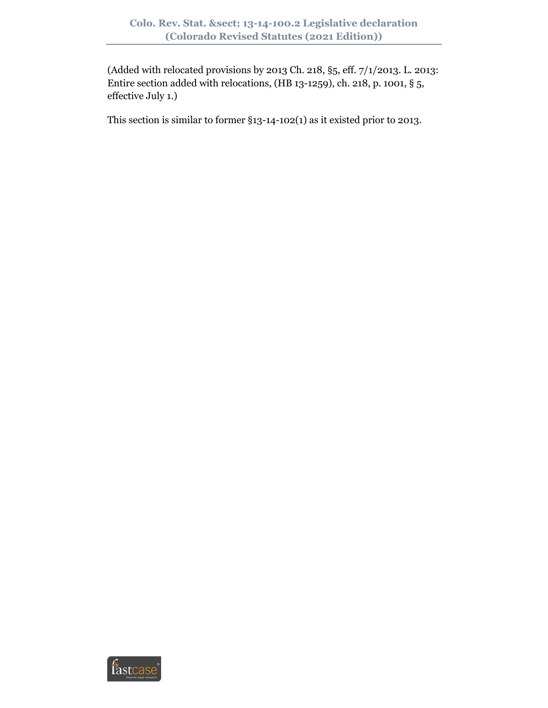(Added with relocated provisions by 2013 Ch. 218, §5, eff. 7/1/2013. L. 2013: Entire section added with relocations, (HB 13-1259), ch. 218, p. 1001, § 5, effective July 1.)

This section is similar to former §13-14-102(1) as it existed prior to 2013.

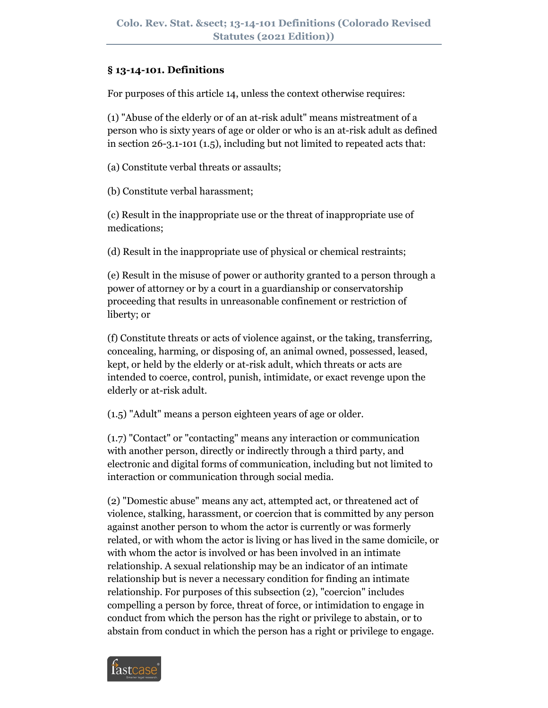### **§ 13-14-101. Definitions**

For purposes of this article 14, unless the context otherwise requires:

(1) "Abuse of the elderly or of an at-risk adult" means mistreatment of a person who is sixty years of age or older or who is an at-risk adult as defined in section 26-3.1-101 (1.5), including but not limited to repeated acts that:

(a) Constitute verbal threats or assaults;

(b) Constitute verbal harassment;

(c) Result in the inappropriate use or the threat of inappropriate use of medications;

(d) Result in the inappropriate use of physical or chemical restraints;

(e) Result in the misuse of power or authority granted to a person through a power of attorney or by a court in a guardianship or conservatorship proceeding that results in unreasonable confinement or restriction of liberty; or

(f) Constitute threats or acts of violence against, or the taking, transferring, concealing, harming, or disposing of, an animal owned, possessed, leased, kept, or held by the elderly or at-risk adult, which threats or acts are intended to coerce, control, punish, intimidate, or exact revenge upon the elderly or at-risk adult.

(1.5) "Adult" means a person eighteen years of age or older.

(1.7) "Contact" or "contacting" means any interaction or communication with another person, directly or indirectly through a third party, and electronic and digital forms of communication, including but not limited to interaction or communication through social media.

(2) "Domestic abuse" means any act, attempted act, or threatened act of violence, stalking, harassment, or coercion that is committed by any person against another person to whom the actor is currently or was formerly related, or with whom the actor is living or has lived in the same domicile, or with whom the actor is involved or has been involved in an intimate relationship. A sexual relationship may be an indicator of an intimate relationship but is never a necessary condition for finding an intimate relationship. For purposes of this subsection (2), "coercion" includes compelling a person by force, threat of force, or intimidation to engage in conduct from which the person has the right or privilege to abstain, or to abstain from conduct in which the person has a right or privilege to engage.

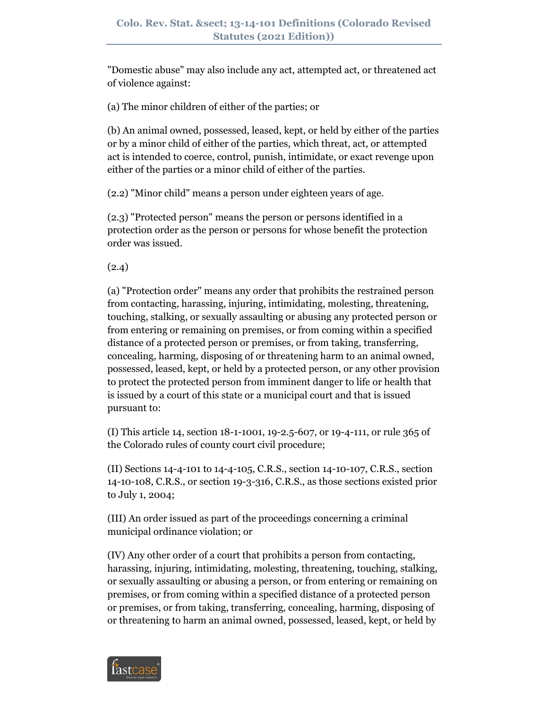"Domestic abuse" may also include any act, attempted act, or threatened act of violence against:

(a) The minor children of either of the parties; or

(b) An animal owned, possessed, leased, kept, or held by either of the parties or by a minor child of either of the parties, which threat, act, or attempted act is intended to coerce, control, punish, intimidate, or exact revenge upon either of the parties or a minor child of either of the parties.

(2.2) "Minor child" means a person under eighteen years of age.

(2.3) "Protected person" means the person or persons identified in a protection order as the person or persons for whose benefit the protection order was issued.

(2.4)

(a) "Protection order" means any order that prohibits the restrained person from contacting, harassing, injuring, intimidating, molesting, threatening, touching, stalking, or sexually assaulting or abusing any protected person or from entering or remaining on premises, or from coming within a specified distance of a protected person or premises, or from taking, transferring, concealing, harming, disposing of or threatening harm to an animal owned, possessed, leased, kept, or held by a protected person, or any other provision to protect the protected person from imminent danger to life or health that is issued by a court of this state or a municipal court and that is issued pursuant to:

(I) This article 14, section 18-1-1001, 19-2.5-607, or 19-4-111, or rule 365 of the Colorado rules of county court civil procedure;

(II) Sections 14-4-101 to 14-4-105, C.R.S., section 14-10-107, C.R.S., section 14-10-108, C.R.S., or section 19-3-316, C.R.S., as those sections existed prior to July 1, 2004;

(III) An order issued as part of the proceedings concerning a criminal municipal ordinance violation; or

(IV) Any other order of a court that prohibits a person from contacting, harassing, injuring, intimidating, molesting, threatening, touching, stalking, or sexually assaulting or abusing a person, or from entering or remaining on premises, or from coming within a specified distance of a protected person or premises, or from taking, transferring, concealing, harming, disposing of or threatening to harm an animal owned, possessed, leased, kept, or held by

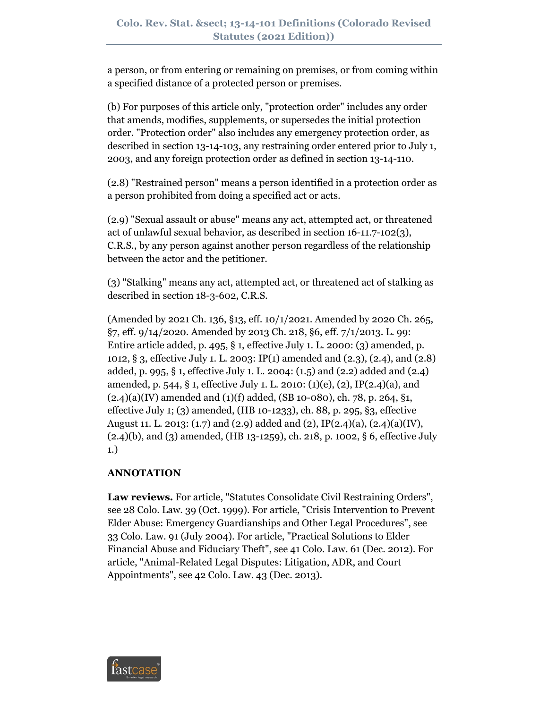a person, or from entering or remaining on premises, or from coming within a specified distance of a protected person or premises.

(b) For purposes of this article only, "protection order" includes any order that amends, modifies, supplements, or supersedes the initial protection order. "Protection order" also includes any emergency protection order, as described in section 13-14-103, any restraining order entered prior to July 1, 2003, and any foreign protection order as defined in section 13-14-110.

(2.8) "Restrained person" means a person identified in a protection order as a person prohibited from doing a specified act or acts.

(2.9) "Sexual assault or abuse" means any act, attempted act, or threatened act of unlawful sexual behavior, as described in section 16-11.7-102(3), C.R.S., by any person against another person regardless of the relationship between the actor and the petitioner.

(3) "Stalking" means any act, attempted act, or threatened act of stalking as described in section 18-3-602, C.R.S.

(Amended by 2021 Ch. 136, §13, eff. 10/1/2021. Amended by 2020 Ch. 265, §7, eff. 9/14/2020. Amended by 2013 Ch. 218, §6, eff. 7/1/2013. L. 99: Entire article added, p. 495, § 1, effective July 1. L. 2000: (3) amended, p. 1012, § 3, effective July 1. L. 2003: IP(1) amended and (2.3), (2.4), and (2.8) added, p. 995, § 1, effective July 1. L. 2004: (1.5) and (2.2) added and (2.4) amended, p. 544, § 1, effective July 1. L. 2010: (1)(e), (2), IP(2.4)(a), and  $(2.4)(a)(IV)$  amended and  $(1)(f)$  added,  $(SB10-080)$ , ch. 78, p. 264, §1, effective July 1; (3) amended, (HB 10-1233), ch. 88, p. 295, §3, effective August 11. L. 2013: (1.7) and (2.9) added and (2),  $IP(2.4)(a)$ , (2.4)(a)(IV), (2.4)(b), and (3) amended, (HB 13-1259), ch. 218, p. 1002, § 6, effective July 1.)

# **ANNOTATION**

**Law reviews.** For article, "Statutes Consolidate Civil Restraining Orders", see 28 Colo. Law. 39 (Oct. 1999). For article, "Crisis Intervention to Prevent Elder Abuse: Emergency Guardianships and Other Legal Procedures", see 33 Colo. Law. 91 (July 2004). For article, "Practical Solutions to Elder Financial Abuse and Fiduciary Theft", see 41 Colo. Law. 61 (Dec. 2012). For article, "Animal-Related Legal Disputes: Litigation, ADR, and Court Appointments", see 42 Colo. Law. 43 (Dec. 2013).

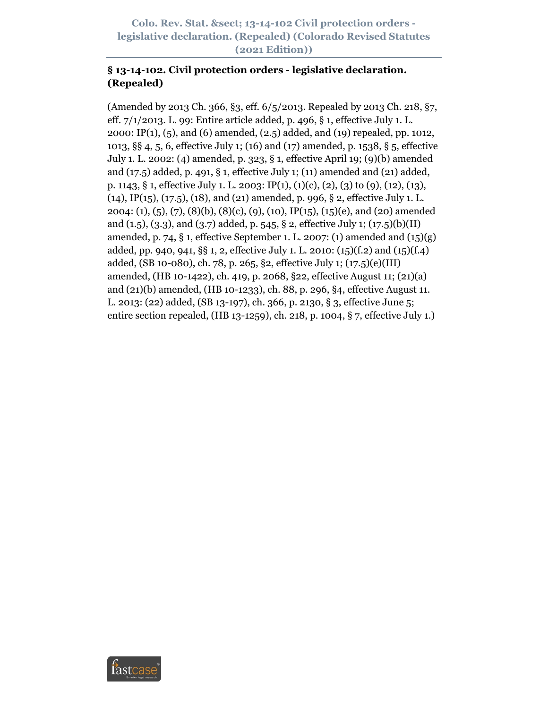**Colo. Rev. Stat. § 13-14-102 Civil protection orders legislative declaration. (Repealed) (Colorado Revised Statutes (2021 Edition))**

### **§ 13-14-102. Civil protection orders - legislative declaration. (Repealed)**

(Amended by 2013 Ch. 366, §3, eff. 6/5/2013. Repealed by 2013 Ch. 218, §7, eff. 7/1/2013. L. 99: Entire article added, p. 496, § 1, effective July 1. L. 2000: IP(1), (5), and (6) amended, (2.5) added, and (19) repealed, pp. 1012, 1013, §§ 4, 5, 6, effective July 1; (16) and (17) amended, p. 1538, § 5, effective July 1. L. 2002: (4) amended, p. 323, § 1, effective April 19; (9)(b) amended and (17.5) added, p. 491, § 1, effective July 1; (11) amended and (21) added, p. 1143, § 1, effective July 1. L. 2003: IP(1), (1)(c), (2), (3) to (9), (12), (13), (14), IP(15), (17.5), (18), and (21) amended, p. 996, § 2, effective July 1. L. 2004: (1), (5), (7), (8)(b), (8)(c), (9), (10), IP(15), (15)(e), and (20) amended and  $(1.5)$ ,  $(3.3)$ , and  $(3.7)$  added, p. 545, § 2, effective July 1;  $(17.5)(b)(II)$ amended, p. 74, § 1, effective September 1. L. 2007: (1) amended and  $(15)(g)$ added, pp. 940, 941, §§ 1, 2, effective July 1. L. 2010: (15)(f.2) and (15)(f.4) added, (SB 10-080), ch. 78, p. 265, §2, effective July 1; (17.5)(e)(III) amended, (HB 10-1422), ch. 419, p. 2068, §22, effective August 11; (21)(a) and (21)(b) amended, (HB 10-1233), ch. 88, p. 296, §4, effective August 11. L. 2013: (22) added, (SB 13-197), ch. 366, p. 2130, § 3, effective June 5; entire section repealed, (HB 13-1259), ch. 218, p. 1004, § 7, effective July 1.)

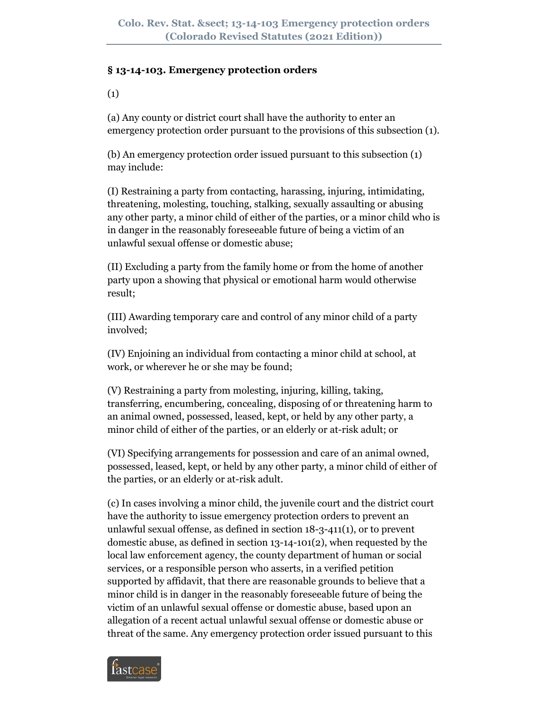### **§ 13-14-103. Emergency protection orders**

(1)

(a) Any county or district court shall have the authority to enter an emergency protection order pursuant to the provisions of this subsection (1).

(b) An emergency protection order issued pursuant to this subsection (1) may include:

(I) Restraining a party from contacting, harassing, injuring, intimidating, threatening, molesting, touching, stalking, sexually assaulting or abusing any other party, a minor child of either of the parties, or a minor child who is in danger in the reasonably foreseeable future of being a victim of an unlawful sexual offense or domestic abuse;

(II) Excluding a party from the family home or from the home of another party upon a showing that physical or emotional harm would otherwise result;

(III) Awarding temporary care and control of any minor child of a party involved;

(IV) Enjoining an individual from contacting a minor child at school, at work, or wherever he or she may be found;

(V) Restraining a party from molesting, injuring, killing, taking, transferring, encumbering, concealing, disposing of or threatening harm to an animal owned, possessed, leased, kept, or held by any other party, a minor child of either of the parties, or an elderly or at-risk adult; or

(VI) Specifying arrangements for possession and care of an animal owned, possessed, leased, kept, or held by any other party, a minor child of either of the parties, or an elderly or at-risk adult.

(c) In cases involving a minor child, the juvenile court and the district court have the authority to issue emergency protection orders to prevent an unlawful sexual offense, as defined in section 18-3-411(1), or to prevent domestic abuse, as defined in section 13-14-101(2), when requested by the local law enforcement agency, the county department of human or social services, or a responsible person who asserts, in a verified petition supported by affidavit, that there are reasonable grounds to believe that a minor child is in danger in the reasonably foreseeable future of being the victim of an unlawful sexual offense or domestic abuse, based upon an allegation of a recent actual unlawful sexual offense or domestic abuse or threat of the same. Any emergency protection order issued pursuant to this

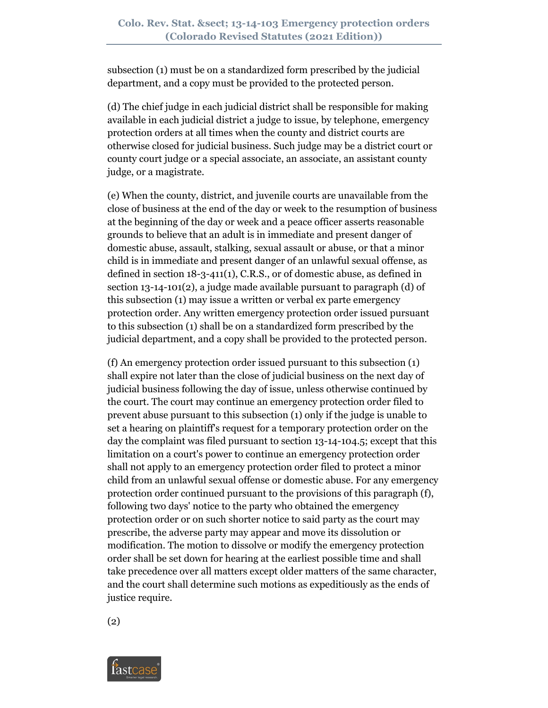subsection (1) must be on a standardized form prescribed by the judicial department, and a copy must be provided to the protected person.

(d) The chief judge in each judicial district shall be responsible for making available in each judicial district a judge to issue, by telephone, emergency protection orders at all times when the county and district courts are otherwise closed for judicial business. Such judge may be a district court or county court judge or a special associate, an associate, an assistant county judge, or a magistrate.

(e) When the county, district, and juvenile courts are unavailable from the close of business at the end of the day or week to the resumption of business at the beginning of the day or week and a peace officer asserts reasonable grounds to believe that an adult is in immediate and present danger of domestic abuse, assault, stalking, sexual assault or abuse, or that a minor child is in immediate and present danger of an unlawful sexual offense, as defined in section 18-3-411(1), C.R.S., or of domestic abuse, as defined in section 13-14-101(2), a judge made available pursuant to paragraph (d) of this subsection (1) may issue a written or verbal ex parte emergency protection order. Any written emergency protection order issued pursuant to this subsection (1) shall be on a standardized form prescribed by the judicial department, and a copy shall be provided to the protected person.

(f) An emergency protection order issued pursuant to this subsection (1) shall expire not later than the close of judicial business on the next day of judicial business following the day of issue, unless otherwise continued by the court. The court may continue an emergency protection order filed to prevent abuse pursuant to this subsection (1) only if the judge is unable to set a hearing on plaintiff's request for a temporary protection order on the day the complaint was filed pursuant to section 13-14-104.5; except that this limitation on a court's power to continue an emergency protection order shall not apply to an emergency protection order filed to protect a minor child from an unlawful sexual offense or domestic abuse. For any emergency protection order continued pursuant to the provisions of this paragraph (f), following two days' notice to the party who obtained the emergency protection order or on such shorter notice to said party as the court may prescribe, the adverse party may appear and move its dissolution or modification. The motion to dissolve or modify the emergency protection order shall be set down for hearing at the earliest possible time and shall take precedence over all matters except older matters of the same character, and the court shall determine such motions as expeditiously as the ends of justice require.

(2)

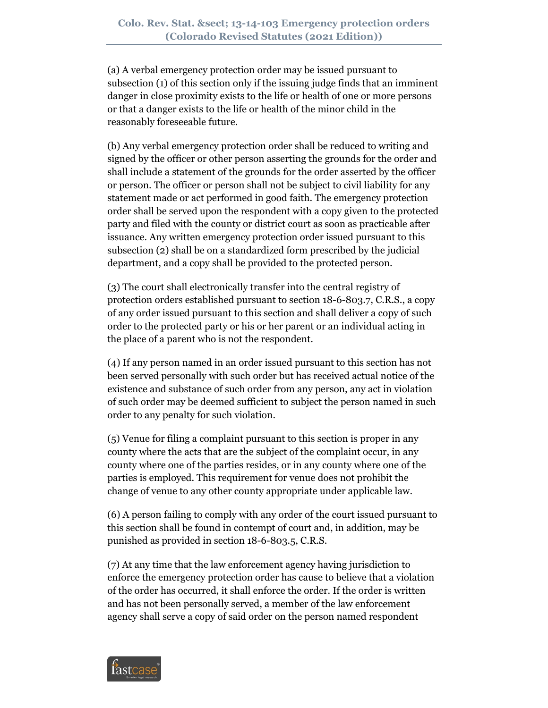(a) A verbal emergency protection order may be issued pursuant to subsection (1) of this section only if the issuing judge finds that an imminent danger in close proximity exists to the life or health of one or more persons or that a danger exists to the life or health of the minor child in the reasonably foreseeable future.

(b) Any verbal emergency protection order shall be reduced to writing and signed by the officer or other person asserting the grounds for the order and shall include a statement of the grounds for the order asserted by the officer or person. The officer or person shall not be subject to civil liability for any statement made or act performed in good faith. The emergency protection order shall be served upon the respondent with a copy given to the protected party and filed with the county or district court as soon as practicable after issuance. Any written emergency protection order issued pursuant to this subsection (2) shall be on a standardized form prescribed by the judicial department, and a copy shall be provided to the protected person.

(3) The court shall electronically transfer into the central registry of protection orders established pursuant to section 18-6-803.7, C.R.S., a copy of any order issued pursuant to this section and shall deliver a copy of such order to the protected party or his or her parent or an individual acting in the place of a parent who is not the respondent.

(4) If any person named in an order issued pursuant to this section has not been served personally with such order but has received actual notice of the existence and substance of such order from any person, any act in violation of such order may be deemed sufficient to subject the person named in such order to any penalty for such violation.

(5) Venue for filing a complaint pursuant to this section is proper in any county where the acts that are the subject of the complaint occur, in any county where one of the parties resides, or in any county where one of the parties is employed. This requirement for venue does not prohibit the change of venue to any other county appropriate under applicable law.

(6) A person failing to comply with any order of the court issued pursuant to this section shall be found in contempt of court and, in addition, may be punished as provided in section 18-6-803.5, C.R.S.

(7) At any time that the law enforcement agency having jurisdiction to enforce the emergency protection order has cause to believe that a violation of the order has occurred, it shall enforce the order. If the order is written and has not been personally served, a member of the law enforcement agency shall serve a copy of said order on the person named respondent

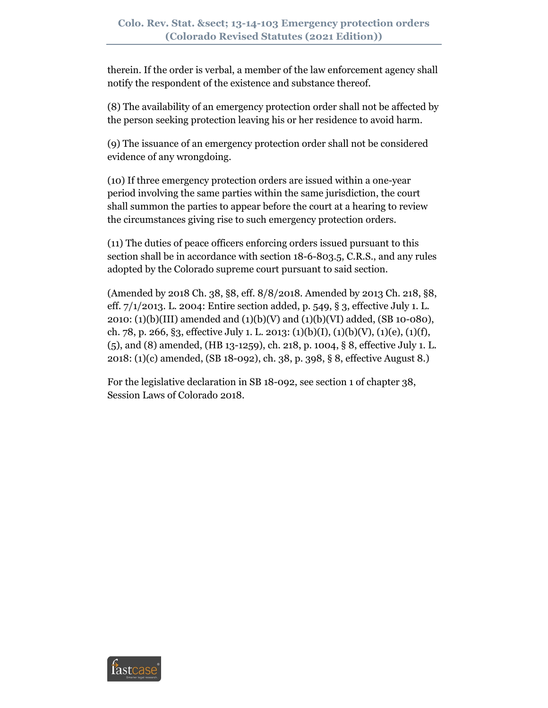therein. If the order is verbal, a member of the law enforcement agency shall notify the respondent of the existence and substance thereof.

(8) The availability of an emergency protection order shall not be affected by the person seeking protection leaving his or her residence to avoid harm.

(9) The issuance of an emergency protection order shall not be considered evidence of any wrongdoing.

(10) If three emergency protection orders are issued within a one-year period involving the same parties within the same jurisdiction, the court shall summon the parties to appear before the court at a hearing to review the circumstances giving rise to such emergency protection orders.

(11) The duties of peace officers enforcing orders issued pursuant to this section shall be in accordance with section 18-6-803.5, C.R.S., and any rules adopted by the Colorado supreme court pursuant to said section.

(Amended by 2018 Ch. 38, §8, eff. 8/8/2018. Amended by 2013 Ch. 218, §8, eff. 7/1/2013. L. 2004: Entire section added, p. 549, § 3, effective July 1. L. 2010: (1)(b)(III) amended and (1)(b)(V) and (1)(b)(VI) added, (SB 10-080), ch. 78, p. 266, §3, effective July 1. L. 2013:  $(1)(b)(I)$ ,  $(1)(b)(V)$ ,  $(1)(e)$ ,  $(1)(f)$ , (5), and (8) amended, (HB 13-1259), ch. 218, p. 1004, § 8, effective July 1. L. 2018: (1)(c) amended, (SB 18-092), ch. 38, p. 398, § 8, effective August 8.)

For the legislative declaration in SB 18-092, see section 1 of chapter 38, Session Laws of Colorado 2018.

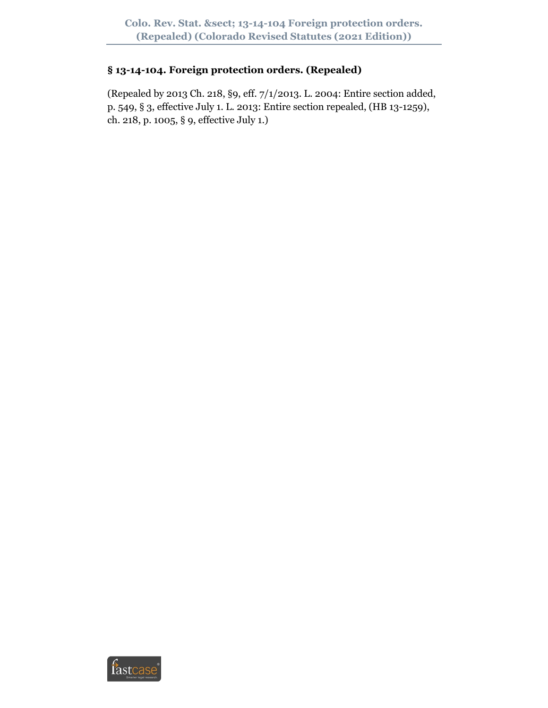## **§ 13-14-104. Foreign protection orders. (Repealed)**

(Repealed by 2013 Ch. 218, §9, eff. 7/1/2013. L. 2004: Entire section added, p. 549, § 3, effective July 1. L. 2013: Entire section repealed, (HB 13-1259), ch. 218, p. 1005, § 9, effective July 1.)

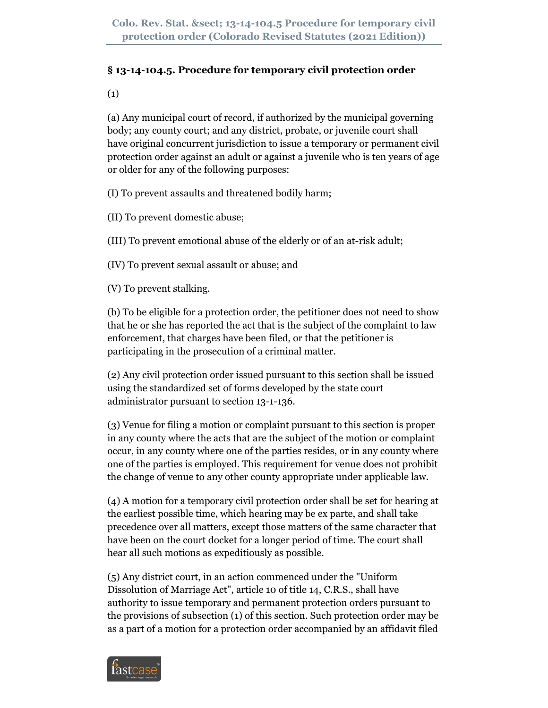# **§ 13-14-104.5. Procedure for temporary civil protection order**

(1)

(a) Any municipal court of record, if authorized by the municipal governing body; any county court; and any district, probate, or juvenile court shall have original concurrent jurisdiction to issue a temporary or permanent civil protection order against an adult or against a juvenile who is ten years of age or older for any of the following purposes:

(I) To prevent assaults and threatened bodily harm;

(II) To prevent domestic abuse;

(III) To prevent emotional abuse of the elderly or of an at-risk adult;

(IV) To prevent sexual assault or abuse; and

(V) To prevent stalking.

(b) To be eligible for a protection order, the petitioner does not need to show that he or she has reported the act that is the subject of the complaint to law enforcement, that charges have been filed, or that the petitioner is participating in the prosecution of a criminal matter.

(2) Any civil protection order issued pursuant to this section shall be issued using the standardized set of forms developed by the state court administrator pursuant to section 13-1-136.

(3) Venue for filing a motion or complaint pursuant to this section is proper in any county where the acts that are the subject of the motion or complaint occur, in any county where one of the parties resides, or in any county where one of the parties is employed. This requirement for venue does not prohibit the change of venue to any other county appropriate under applicable law.

(4) A motion for a temporary civil protection order shall be set for hearing at the earliest possible time, which hearing may be ex parte, and shall take precedence over all matters, except those matters of the same character that have been on the court docket for a longer period of time. The court shall hear all such motions as expeditiously as possible.

(5) Any district court, in an action commenced under the "Uniform Dissolution of Marriage Act", article 10 of title 14, C.R.S., shall have authority to issue temporary and permanent protection orders pursuant to the provisions of subsection (1) of this section. Such protection order may be as a part of a motion for a protection order accompanied by an affidavit filed

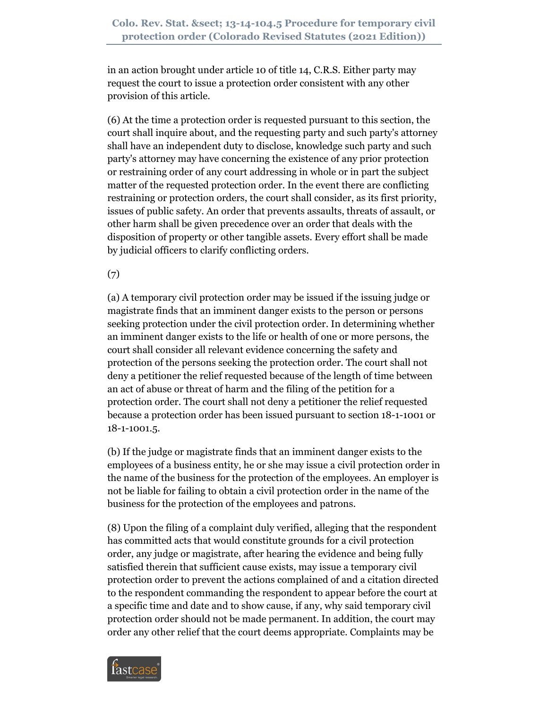in an action brought under article 10 of title 14, C.R.S. Either party may request the court to issue a protection order consistent with any other provision of this article.

(6) At the time a protection order is requested pursuant to this section, the court shall inquire about, and the requesting party and such party's attorney shall have an independent duty to disclose, knowledge such party and such party's attorney may have concerning the existence of any prior protection or restraining order of any court addressing in whole or in part the subject matter of the requested protection order. In the event there are conflicting restraining or protection orders, the court shall consider, as its first priority, issues of public safety. An order that prevents assaults, threats of assault, or other harm shall be given precedence over an order that deals with the disposition of property or other tangible assets. Every effort shall be made by judicial officers to clarify conflicting orders.

(7)

(a) A temporary civil protection order may be issued if the issuing judge or magistrate finds that an imminent danger exists to the person or persons seeking protection under the civil protection order. In determining whether an imminent danger exists to the life or health of one or more persons, the court shall consider all relevant evidence concerning the safety and protection of the persons seeking the protection order. The court shall not deny a petitioner the relief requested because of the length of time between an act of abuse or threat of harm and the filing of the petition for a protection order. The court shall not deny a petitioner the relief requested because a protection order has been issued pursuant to section 18-1-1001 or 18-1-1001.5.

(b) If the judge or magistrate finds that an imminent danger exists to the employees of a business entity, he or she may issue a civil protection order in the name of the business for the protection of the employees. An employer is not be liable for failing to obtain a civil protection order in the name of the business for the protection of the employees and patrons.

(8) Upon the filing of a complaint duly verified, alleging that the respondent has committed acts that would constitute grounds for a civil protection order, any judge or magistrate, after hearing the evidence and being fully satisfied therein that sufficient cause exists, may issue a temporary civil protection order to prevent the actions complained of and a citation directed to the respondent commanding the respondent to appear before the court at a specific time and date and to show cause, if any, why said temporary civil protection order should not be made permanent. In addition, the court may order any other relief that the court deems appropriate. Complaints may be

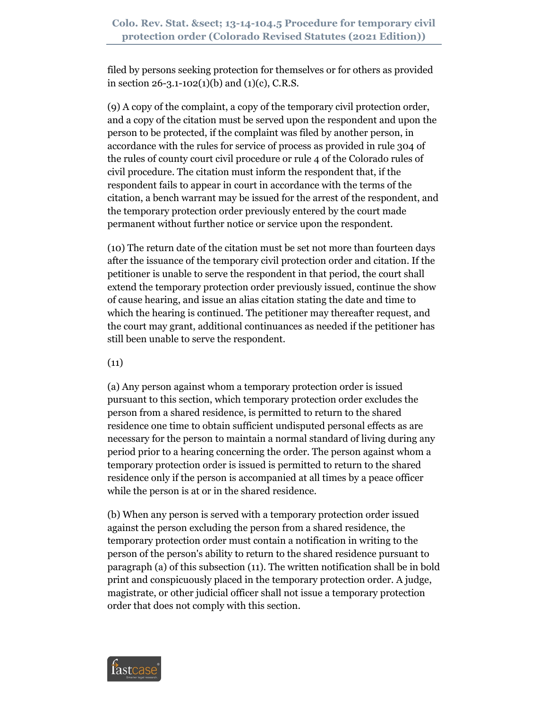filed by persons seeking protection for themselves or for others as provided in section  $26 - 3.1 - 102(1)(b)$  and  $(1)(c)$ , C.R.S.

(9) A copy of the complaint, a copy of the temporary civil protection order, and a copy of the citation must be served upon the respondent and upon the person to be protected, if the complaint was filed by another person, in accordance with the rules for service of process as provided in rule 304 of the rules of county court civil procedure or rule 4 of the Colorado rules of civil procedure. The citation must inform the respondent that, if the respondent fails to appear in court in accordance with the terms of the citation, a bench warrant may be issued for the arrest of the respondent, and the temporary protection order previously entered by the court made permanent without further notice or service upon the respondent.

(10) The return date of the citation must be set not more than fourteen days after the issuance of the temporary civil protection order and citation. If the petitioner is unable to serve the respondent in that period, the court shall extend the temporary protection order previously issued, continue the show of cause hearing, and issue an alias citation stating the date and time to which the hearing is continued. The petitioner may thereafter request, and the court may grant, additional continuances as needed if the petitioner has still been unable to serve the respondent.

 $(11)$ 

(a) Any person against whom a temporary protection order is issued pursuant to this section, which temporary protection order excludes the person from a shared residence, is permitted to return to the shared residence one time to obtain sufficient undisputed personal effects as are necessary for the person to maintain a normal standard of living during any period prior to a hearing concerning the order. The person against whom a temporary protection order is issued is permitted to return to the shared residence only if the person is accompanied at all times by a peace officer while the person is at or in the shared residence.

(b) When any person is served with a temporary protection order issued against the person excluding the person from a shared residence, the temporary protection order must contain a notification in writing to the person of the person's ability to return to the shared residence pursuant to paragraph (a) of this subsection (11). The written notification shall be in bold print and conspicuously placed in the temporary protection order. A judge, magistrate, or other judicial officer shall not issue a temporary protection order that does not comply with this section.

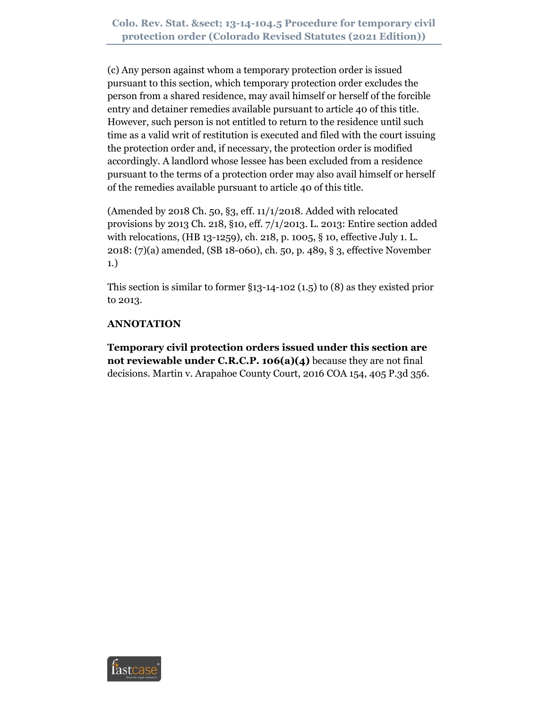(c) Any person against whom a temporary protection order is issued pursuant to this section, which temporary protection order excludes the person from a shared residence, may avail himself or herself of the forcible entry and detainer remedies available pursuant to article 40 of this title. However, such person is not entitled to return to the residence until such time as a valid writ of restitution is executed and filed with the court issuing the protection order and, if necessary, the protection order is modified accordingly. A landlord whose lessee has been excluded from a residence pursuant to the terms of a protection order may also avail himself or herself of the remedies available pursuant to article 40 of this title.

(Amended by 2018 Ch. 50, §3, eff. 11/1/2018. Added with relocated provisions by 2013 Ch. 218, §10, eff. 7/1/2013. L. 2013: Entire section added with relocations, (HB 13-1259), ch. 218, p. 1005, § 10, effective July 1. L. 2018: (7)(a) amended, (SB 18-060), ch. 50, p. 489, § 3, effective November 1.)

This section is similar to former §13-14-102 (1.5) to (8) as they existed prior to 2013.

## **ANNOTATION**

**Temporary civil protection orders issued under this section are not reviewable under C.R.C.P. 106(a)(4)** because they are not final decisions. Martin v. Arapahoe County Court, 2016 COA 154, 405 P.3d 356.

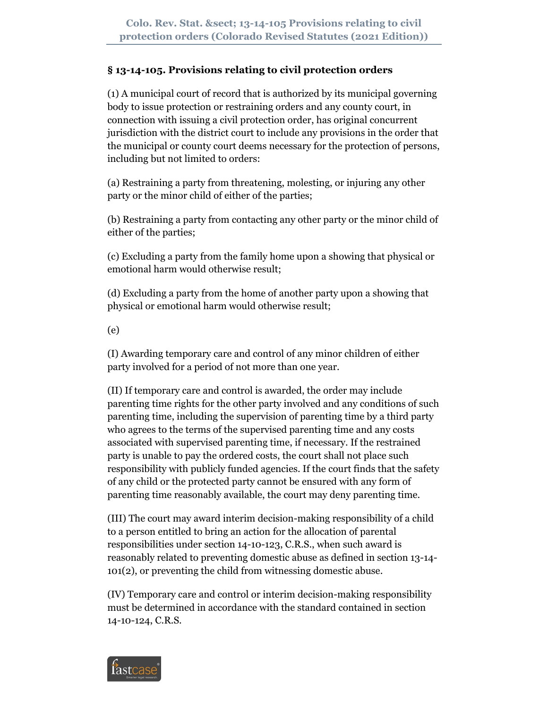## **§ 13-14-105. Provisions relating to civil protection orders**

(1) A municipal court of record that is authorized by its municipal governing body to issue protection or restraining orders and any county court, in connection with issuing a civil protection order, has original concurrent jurisdiction with the district court to include any provisions in the order that the municipal or county court deems necessary for the protection of persons, including but not limited to orders:

(a) Restraining a party from threatening, molesting, or injuring any other party or the minor child of either of the parties;

(b) Restraining a party from contacting any other party or the minor child of either of the parties;

(c) Excluding a party from the family home upon a showing that physical or emotional harm would otherwise result;

(d) Excluding a party from the home of another party upon a showing that physical or emotional harm would otherwise result;

(e)

(I) Awarding temporary care and control of any minor children of either party involved for a period of not more than one year.

(II) If temporary care and control is awarded, the order may include parenting time rights for the other party involved and any conditions of such parenting time, including the supervision of parenting time by a third party who agrees to the terms of the supervised parenting time and any costs associated with supervised parenting time, if necessary. If the restrained party is unable to pay the ordered costs, the court shall not place such responsibility with publicly funded agencies. If the court finds that the safety of any child or the protected party cannot be ensured with any form of parenting time reasonably available, the court may deny parenting time.

(III) The court may award interim decision-making responsibility of a child to a person entitled to bring an action for the allocation of parental responsibilities under section 14-10-123, C.R.S., when such award is reasonably related to preventing domestic abuse as defined in section 13-14- 101(2), or preventing the child from witnessing domestic abuse.

(IV) Temporary care and control or interim decision-making responsibility must be determined in accordance with the standard contained in section 14-10-124, C.R.S.

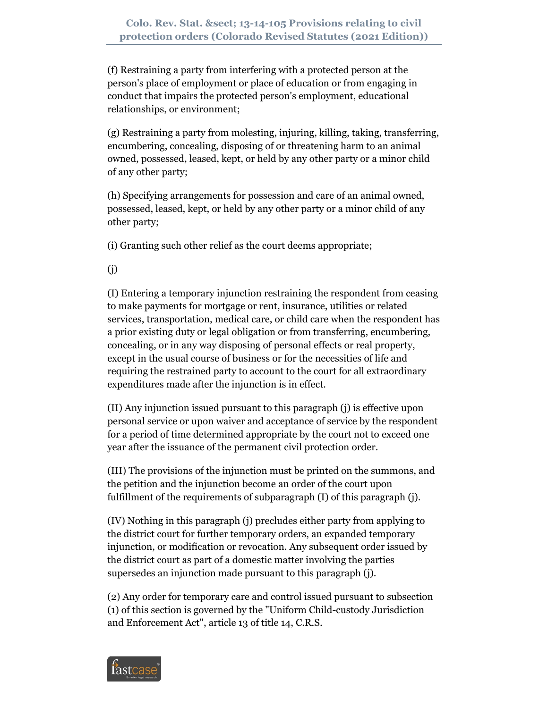(f) Restraining a party from interfering with a protected person at the person's place of employment or place of education or from engaging in conduct that impairs the protected person's employment, educational relationships, or environment;

(g) Restraining a party from molesting, injuring, killing, taking, transferring, encumbering, concealing, disposing of or threatening harm to an animal owned, possessed, leased, kept, or held by any other party or a minor child of any other party;

(h) Specifying arrangements for possession and care of an animal owned, possessed, leased, kept, or held by any other party or a minor child of any other party;

(i) Granting such other relief as the court deems appropriate;

(j)

(I) Entering a temporary injunction restraining the respondent from ceasing to make payments for mortgage or rent, insurance, utilities or related services, transportation, medical care, or child care when the respondent has a prior existing duty or legal obligation or from transferring, encumbering, concealing, or in any way disposing of personal effects or real property, except in the usual course of business or for the necessities of life and requiring the restrained party to account to the court for all extraordinary expenditures made after the injunction is in effect.

(II) Any injunction issued pursuant to this paragraph (j) is effective upon personal service or upon waiver and acceptance of service by the respondent for a period of time determined appropriate by the court not to exceed one year after the issuance of the permanent civil protection order.

(III) The provisions of the injunction must be printed on the summons, and the petition and the injunction become an order of the court upon fulfillment of the requirements of subparagraph (I) of this paragraph (j).

(IV) Nothing in this paragraph (j) precludes either party from applying to the district court for further temporary orders, an expanded temporary injunction, or modification or revocation. Any subsequent order issued by the district court as part of a domestic matter involving the parties supersedes an injunction made pursuant to this paragraph (j).

(2) Any order for temporary care and control issued pursuant to subsection (1) of this section is governed by the "Uniform Child-custody Jurisdiction and Enforcement Act", article 13 of title 14, C.R.S.

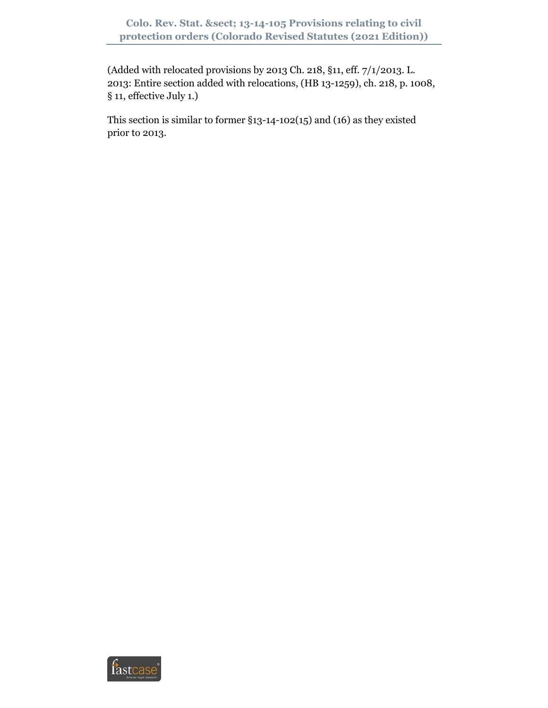(Added with relocated provisions by 2013 Ch. 218, §11, eff. 7/1/2013. L. 2013: Entire section added with relocations, (HB 13-1259), ch. 218, p. 1008, § 11, effective July 1.)

This section is similar to former §13-14-102(15) and (16) as they existed prior to 2013.

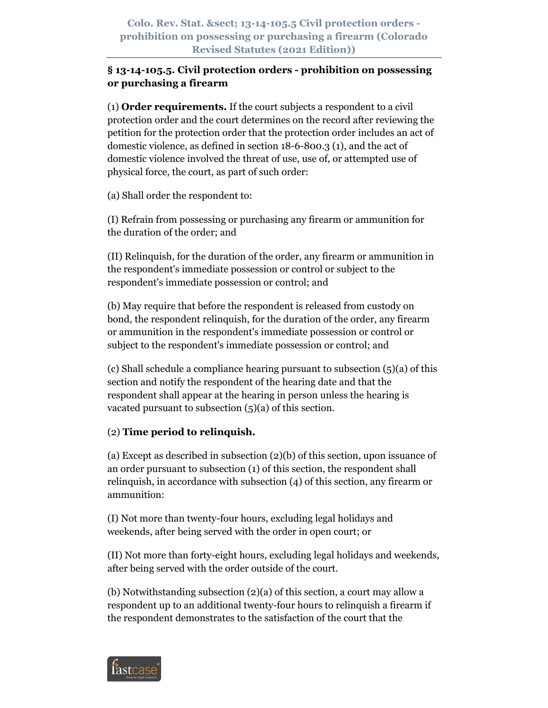### **§ 13-14-105.5. Civil protection orders - prohibition on possessing or purchasing a firearm**

(1) **Order requirements.** If the court subjects a respondent to a civil protection order and the court determines on the record after reviewing the petition for the protection order that the protection order includes an act of domestic violence, as defined in section 18-6-800.3 (1), and the act of domestic violence involved the threat of use, use of, or attempted use of physical force, the court, as part of such order:

(a) Shall order the respondent to:

(I) Refrain from possessing or purchasing any firearm or ammunition for the duration of the order; and

(II) Relinquish, for the duration of the order, any firearm or ammunition in the respondent's immediate possession or control or subject to the respondent's immediate possession or control; and

(b) May require that before the respondent is released from custody on bond, the respondent relinquish, for the duration of the order, any firearm or ammunition in the respondent's immediate possession or control or subject to the respondent's immediate possession or control; and

(c) Shall schedule a compliance hearing pursuant to subsection (5)(a) of this section and notify the respondent of the hearing date and that the respondent shall appear at the hearing in person unless the hearing is vacated pursuant to subsection  $(5)(a)$  of this section.

# (2) **Time period to relinquish.**

(a) Except as described in subsection (2)(b) of this section, upon issuance of an order pursuant to subsection (1) of this section, the respondent shall relinquish, in accordance with subsection (4) of this section, any firearm or ammunition:

(I) Not more than twenty-four hours, excluding legal holidays and weekends, after being served with the order in open court; or

(II) Not more than forty-eight hours, excluding legal holidays and weekends, after being served with the order outside of the court.

(b) Notwithstanding subsection (2)(a) of this section, a court may allow a respondent up to an additional twenty-four hours to relinquish a firearm if the respondent demonstrates to the satisfaction of the court that the

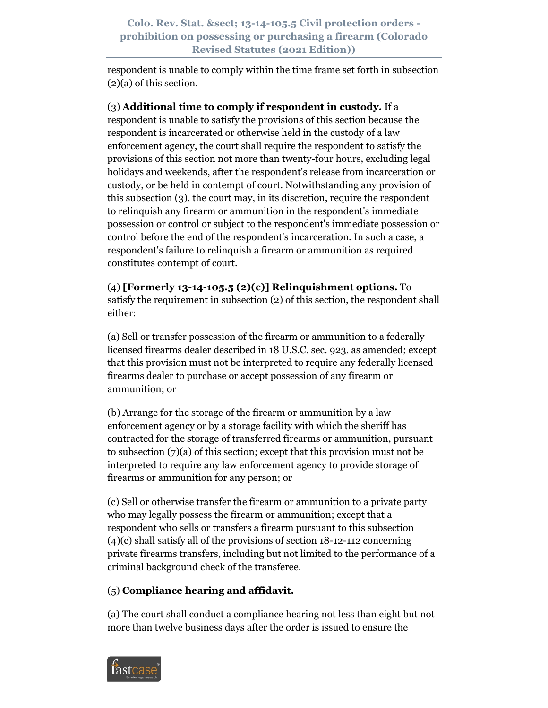respondent is unable to comply within the time frame set forth in subsection (2)(a) of this section.

(3) **Additional time to comply if respondent in custody.** If a respondent is unable to satisfy the provisions of this section because the respondent is incarcerated or otherwise held in the custody of a law enforcement agency, the court shall require the respondent to satisfy the provisions of this section not more than twenty-four hours, excluding legal holidays and weekends, after the respondent's release from incarceration or custody, or be held in contempt of court. Notwithstanding any provision of this subsection (3), the court may, in its discretion, require the respondent to relinquish any firearm or ammunition in the respondent's immediate possession or control or subject to the respondent's immediate possession or control before the end of the respondent's incarceration. In such a case, a respondent's failure to relinquish a firearm or ammunition as required constitutes contempt of court.

(4) **[Formerly 13-14-105.5 (2)(c)] Relinquishment options.** To satisfy the requirement in subsection (2) of this section, the respondent shall either:

(a) Sell or transfer possession of the firearm or ammunition to a federally licensed firearms dealer described in 18 U.S.C. sec. 923, as amended; except that this provision must not be interpreted to require any federally licensed firearms dealer to purchase or accept possession of any firearm or ammunition; or

(b) Arrange for the storage of the firearm or ammunition by a law enforcement agency or by a storage facility with which the sheriff has contracted for the storage of transferred firearms or ammunition, pursuant to subsection (7)(a) of this section; except that this provision must not be interpreted to require any law enforcement agency to provide storage of firearms or ammunition for any person; or

(c) Sell or otherwise transfer the firearm or ammunition to a private party who may legally possess the firearm or ammunition; except that a respondent who sells or transfers a firearm pursuant to this subsection (4)(c) shall satisfy all of the provisions of section 18-12-112 concerning private firearms transfers, including but not limited to the performance of a criminal background check of the transferee.

# (5) **Compliance hearing and affidavit.**

(a) The court shall conduct a compliance hearing not less than eight but not more than twelve business days after the order is issued to ensure the

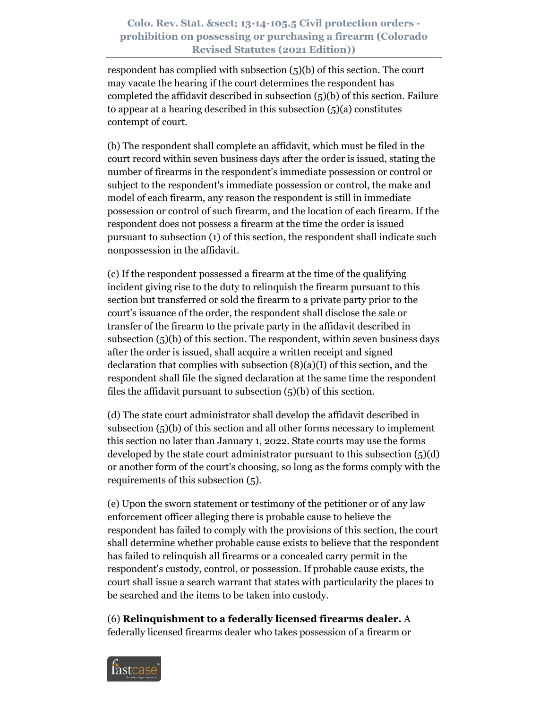respondent has complied with subsection (5)(b) of this section. The court may vacate the hearing if the court determines the respondent has completed the affidavit described in subsection (5)(b) of this section. Failure to appear at a hearing described in this subsection (5)(a) constitutes contempt of court.

(b) The respondent shall complete an affidavit, which must be filed in the court record within seven business days after the order is issued, stating the number of firearms in the respondent's immediate possession or control or subject to the respondent's immediate possession or control, the make and model of each firearm, any reason the respondent is still in immediate possession or control of such firearm, and the location of each firearm. If the respondent does not possess a firearm at the time the order is issued pursuant to subsection (1) of this section, the respondent shall indicate such nonpossession in the affidavit.

(c) If the respondent possessed a firearm at the time of the qualifying incident giving rise to the duty to relinquish the firearm pursuant to this section but transferred or sold the firearm to a private party prior to the court's issuance of the order, the respondent shall disclose the sale or transfer of the firearm to the private party in the affidavit described in subsection (5)(b) of this section. The respondent, within seven business days after the order is issued, shall acquire a written receipt and signed declaration that complies with subsection (8)(a)(I) of this section, and the respondent shall file the signed declaration at the same time the respondent files the affidavit pursuant to subsection  $(5)(b)$  of this section.

(d) The state court administrator shall develop the affidavit described in subsection (5)(b) of this section and all other forms necessary to implement this section no later than January 1, 2022. State courts may use the forms developed by the state court administrator pursuant to this subsection (5)(d) or another form of the court's choosing, so long as the forms comply with the requirements of this subsection (5).

(e) Upon the sworn statement or testimony of the petitioner or of any law enforcement officer alleging there is probable cause to believe the respondent has failed to comply with the provisions of this section, the court shall determine whether probable cause exists to believe that the respondent has failed to relinquish all firearms or a concealed carry permit in the respondent's custody, control, or possession. If probable cause exists, the court shall issue a search warrant that states with particularity the places to be searched and the items to be taken into custody.

(6) **Relinquishment to a federally licensed firearms dealer.** A federally licensed firearms dealer who takes possession of a firearm or

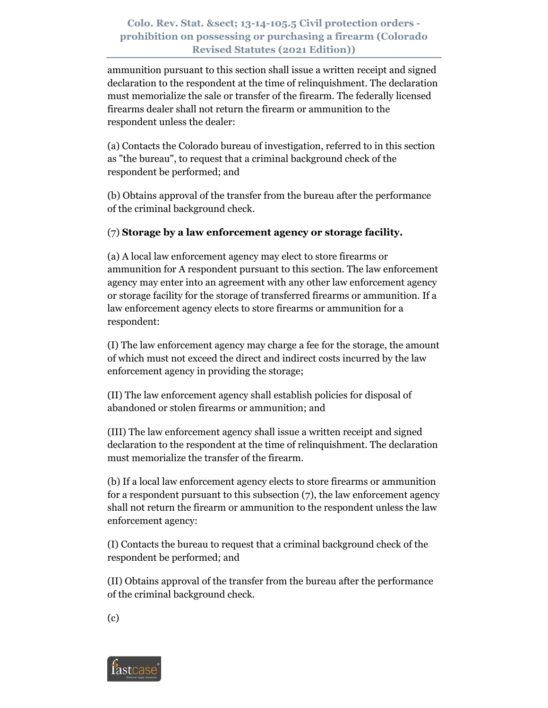ammunition pursuant to this section shall issue a written receipt and signed declaration to the respondent at the time of relinquishment. The declaration must memorialize the sale or transfer of the firearm. The federally licensed firearms dealer shall not return the firearm or ammunition to the respondent unless the dealer:

(a) Contacts the Colorado bureau of investigation, referred to in this section as "the bureau", to request that a criminal background check of the respondent be performed; and

(b) Obtains approval of the transfer from the bureau after the performance of the criminal background check.

## (7) **Storage by a law enforcement agency or storage facility.**

(a) A local law enforcement agency may elect to store firearms or ammunition for A respondent pursuant to this section. The law enforcement agency may enter into an agreement with any other law enforcement agency or storage facility for the storage of transferred firearms or ammunition. If a law enforcement agency elects to store firearms or ammunition for a respondent:

(I) The law enforcement agency may charge a fee for the storage, the amount of which must not exceed the direct and indirect costs incurred by the law enforcement agency in providing the storage;

(II) The law enforcement agency shall establish policies for disposal of abandoned or stolen firearms or ammunition; and

(III) The law enforcement agency shall issue a written receipt and signed declaration to the respondent at the time of relinquishment. The declaration must memorialize the transfer of the firearm.

(b) If a local law enforcement agency elects to store firearms or ammunition for a respondent pursuant to this subsection (7), the law enforcement agency shall not return the firearm or ammunition to the respondent unless the law enforcement agency:

(I) Contacts the bureau to request that a criminal background check of the respondent be performed; and

(II) Obtains approval of the transfer from the bureau after the performance of the criminal background check.

(c)

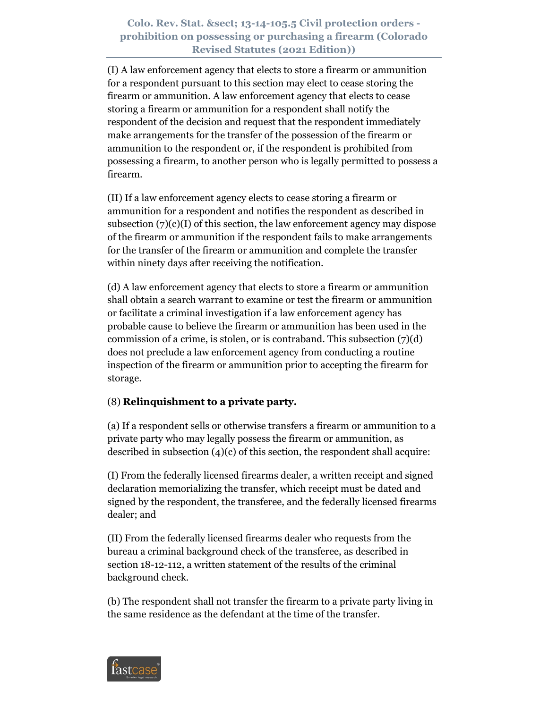(I) A law enforcement agency that elects to store a firearm or ammunition for a respondent pursuant to this section may elect to cease storing the firearm or ammunition. A law enforcement agency that elects to cease storing a firearm or ammunition for a respondent shall notify the respondent of the decision and request that the respondent immediately make arrangements for the transfer of the possession of the firearm or ammunition to the respondent or, if the respondent is prohibited from possessing a firearm, to another person who is legally permitted to possess a firearm.

(II) If a law enforcement agency elects to cease storing a firearm or ammunition for a respondent and notifies the respondent as described in subsection  $(7)(c)(I)$  of this section, the law enforcement agency may dispose of the firearm or ammunition if the respondent fails to make arrangements for the transfer of the firearm or ammunition and complete the transfer within ninety days after receiving the notification.

(d) A law enforcement agency that elects to store a firearm or ammunition shall obtain a search warrant to examine or test the firearm or ammunition or facilitate a criminal investigation if a law enforcement agency has probable cause to believe the firearm or ammunition has been used in the commission of a crime, is stolen, or is contraband. This subsection (7)(d) does not preclude a law enforcement agency from conducting a routine inspection of the firearm or ammunition prior to accepting the firearm for storage.

### (8) **Relinquishment to a private party.**

(a) If a respondent sells or otherwise transfers a firearm or ammunition to a private party who may legally possess the firearm or ammunition, as described in subsection (4)(c) of this section, the respondent shall acquire:

(I) From the federally licensed firearms dealer, a written receipt and signed declaration memorializing the transfer, which receipt must be dated and signed by the respondent, the transferee, and the federally licensed firearms dealer; and

(II) From the federally licensed firearms dealer who requests from the bureau a criminal background check of the transferee, as described in section 18-12-112, a written statement of the results of the criminal background check.

(b) The respondent shall not transfer the firearm to a private party living in the same residence as the defendant at the time of the transfer.

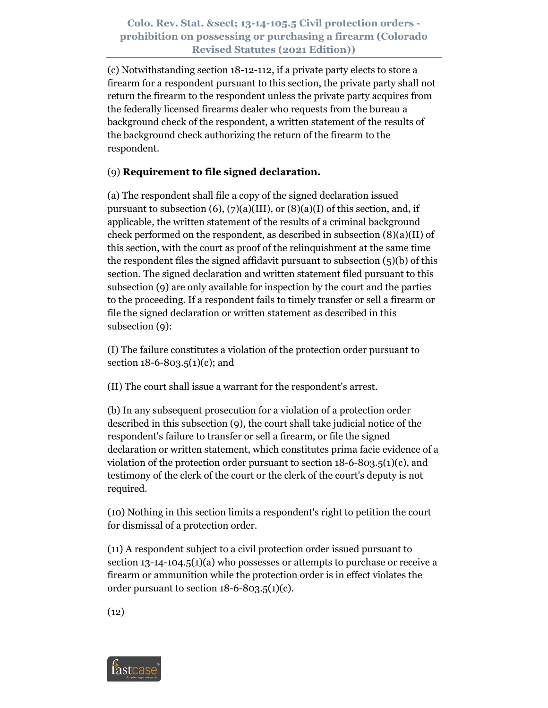(c) Notwithstanding section 18-12-112, if a private party elects to store a firearm for a respondent pursuant to this section, the private party shall not return the firearm to the respondent unless the private party acquires from the federally licensed firearms dealer who requests from the bureau a background check of the respondent, a written statement of the results of the background check authorizing the return of the firearm to the respondent.

# (9) **Requirement to file signed declaration.**

(a) The respondent shall file a copy of the signed declaration issued pursuant to subsection  $(6)$ ,  $(7)(a)(III)$ , or  $(8)(a)(I)$  of this section, and, if applicable, the written statement of the results of a criminal background check performed on the respondent, as described in subsection (8)(a)(II) of this section, with the court as proof of the relinquishment at the same time the respondent files the signed affidavit pursuant to subsection (5)(b) of this section. The signed declaration and written statement filed pursuant to this subsection (9) are only available for inspection by the court and the parties to the proceeding. If a respondent fails to timely transfer or sell a firearm or file the signed declaration or written statement as described in this subsection (9):

(I) The failure constitutes a violation of the protection order pursuant to section 18-6-803.5(1)(c); and

(II) The court shall issue a warrant for the respondent's arrest.

(b) In any subsequent prosecution for a violation of a protection order described in this subsection (9), the court shall take judicial notice of the respondent's failure to transfer or sell a firearm, or file the signed declaration or written statement, which constitutes prima facie evidence of a violation of the protection order pursuant to section 18-6-803.5(1)(c), and testimony of the clerk of the court or the clerk of the court's deputy is not required.

(10) Nothing in this section limits a respondent's right to petition the court for dismissal of a protection order.

(11) A respondent subject to a civil protection order issued pursuant to section 13-14-104.5(1)(a) who possesses or attempts to purchase or receive a firearm or ammunition while the protection order is in effect violates the order pursuant to section  $18-6-803.5(1)(c)$ .

 $(12)$ 

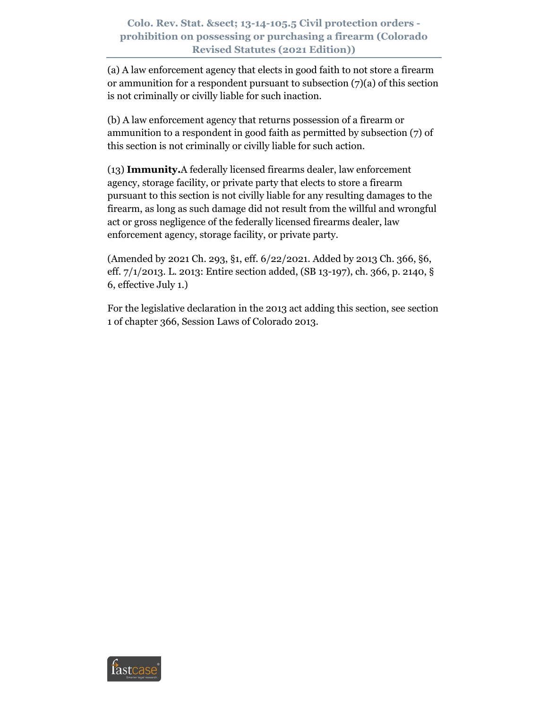(a) A law enforcement agency that elects in good faith to not store a firearm or ammunition for a respondent pursuant to subsection  $(7)(a)$  of this section is not criminally or civilly liable for such inaction.

(b) A law enforcement agency that returns possession of a firearm or ammunition to a respondent in good faith as permitted by subsection (7) of this section is not criminally or civilly liable for such action.

(13) **Immunity.**A federally licensed firearms dealer, law enforcement agency, storage facility, or private party that elects to store a firearm pursuant to this section is not civilly liable for any resulting damages to the firearm, as long as such damage did not result from the willful and wrongful act or gross negligence of the federally licensed firearms dealer, law enforcement agency, storage facility, or private party.

(Amended by 2021 Ch. 293, §1, eff. 6/22/2021. Added by 2013 Ch. 366, §6, eff. 7/1/2013. L. 2013: Entire section added, (SB 13-197), ch. 366, p. 2140, § 6, effective July 1.)

For the legislative declaration in the 2013 act adding this section, see section 1 of chapter 366, Session Laws of Colorado 2013.

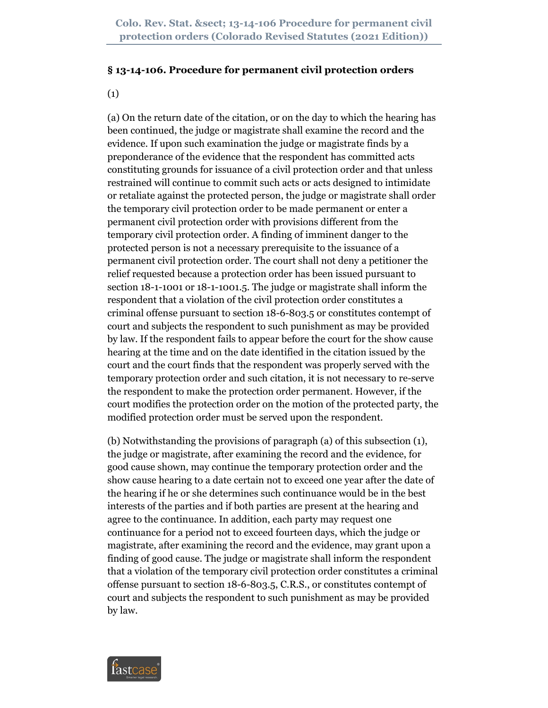#### **§ 13-14-106. Procedure for permanent civil protection orders**

(1)

(a) On the return date of the citation, or on the day to which the hearing has been continued, the judge or magistrate shall examine the record and the evidence. If upon such examination the judge or magistrate finds by a preponderance of the evidence that the respondent has committed acts constituting grounds for issuance of a civil protection order and that unless restrained will continue to commit such acts or acts designed to intimidate or retaliate against the protected person, the judge or magistrate shall order the temporary civil protection order to be made permanent or enter a permanent civil protection order with provisions different from the temporary civil protection order. A finding of imminent danger to the protected person is not a necessary prerequisite to the issuance of a permanent civil protection order. The court shall not deny a petitioner the relief requested because a protection order has been issued pursuant to section 18-1-1001 or 18-1-1001.5. The judge or magistrate shall inform the respondent that a violation of the civil protection order constitutes a criminal offense pursuant to section 18-6-803.5 or constitutes contempt of court and subjects the respondent to such punishment as may be provided by law. If the respondent fails to appear before the court for the show cause hearing at the time and on the date identified in the citation issued by the court and the court finds that the respondent was properly served with the temporary protection order and such citation, it is not necessary to re-serve the respondent to make the protection order permanent. However, if the court modifies the protection order on the motion of the protected party, the modified protection order must be served upon the respondent.

(b) Notwithstanding the provisions of paragraph (a) of this subsection (1), the judge or magistrate, after examining the record and the evidence, for good cause shown, may continue the temporary protection order and the show cause hearing to a date certain not to exceed one year after the date of the hearing if he or she determines such continuance would be in the best interests of the parties and if both parties are present at the hearing and agree to the continuance. In addition, each party may request one continuance for a period not to exceed fourteen days, which the judge or magistrate, after examining the record and the evidence, may grant upon a finding of good cause. The judge or magistrate shall inform the respondent that a violation of the temporary civil protection order constitutes a criminal offense pursuant to section 18-6-803.5, C.R.S., or constitutes contempt of court and subjects the respondent to such punishment as may be provided by law.

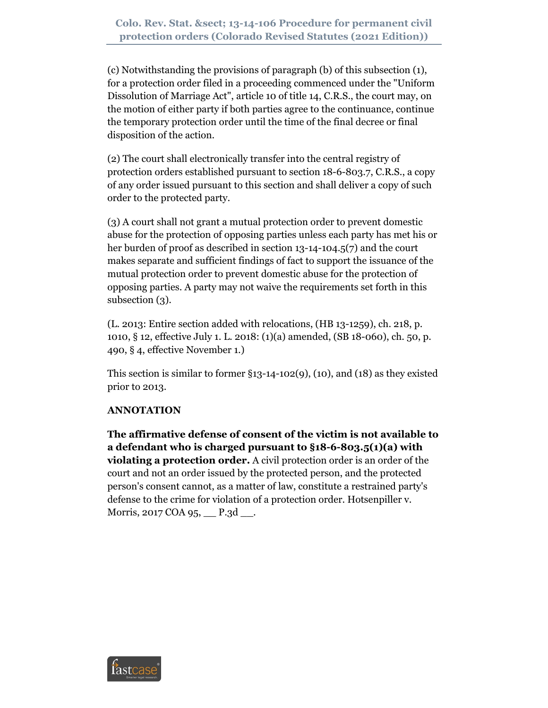(c) Notwithstanding the provisions of paragraph (b) of this subsection (1), for a protection order filed in a proceeding commenced under the "Uniform Dissolution of Marriage Act", article 10 of title 14, C.R.S., the court may, on the motion of either party if both parties agree to the continuance, continue the temporary protection order until the time of the final decree or final disposition of the action.

(2) The court shall electronically transfer into the central registry of protection orders established pursuant to section 18-6-803.7, C.R.S., a copy of any order issued pursuant to this section and shall deliver a copy of such order to the protected party.

(3) A court shall not grant a mutual protection order to prevent domestic abuse for the protection of opposing parties unless each party has met his or her burden of proof as described in section 13-14-104.5(7) and the court makes separate and sufficient findings of fact to support the issuance of the mutual protection order to prevent domestic abuse for the protection of opposing parties. A party may not waive the requirements set forth in this subsection (3).

(L. 2013: Entire section added with relocations, (HB 13-1259), ch. 218, p. 1010, § 12, effective July 1. L. 2018: (1)(a) amended, (SB 18-060), ch. 50, p. 490, § 4, effective November 1.)

This section is similar to former  $\S$ 13-14-102(9), (10), and (18) as they existed prior to 2013.

# **ANNOTATION**

**The affirmative defense of consent of the victim is not available to a defendant who is charged pursuant to §18-6-803.5(1)(a) with violating a protection order.** A civil protection order is an order of the court and not an order issued by the protected person, and the protected person's consent cannot, as a matter of law, constitute a restrained party's defense to the crime for violation of a protection order. Hotsenpiller v. Morris, 2017 COA 95, P.3d ...

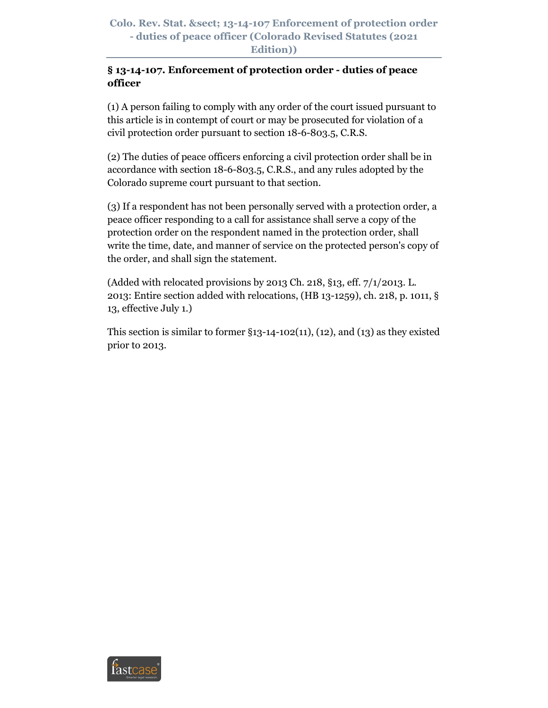# **§ 13-14-107. Enforcement of protection order - duties of peace officer**

(1) A person failing to comply with any order of the court issued pursuant to this article is in contempt of court or may be prosecuted for violation of a civil protection order pursuant to section 18-6-803.5, C.R.S.

(2) The duties of peace officers enforcing a civil protection order shall be in accordance with section 18-6-803.5, C.R.S., and any rules adopted by the Colorado supreme court pursuant to that section.

(3) If a respondent has not been personally served with a protection order, a peace officer responding to a call for assistance shall serve a copy of the protection order on the respondent named in the protection order, shall write the time, date, and manner of service on the protected person's copy of the order, and shall sign the statement.

(Added with relocated provisions by 2013 Ch. 218, §13, eff. 7/1/2013. L. 2013: Entire section added with relocations, (HB 13-1259), ch. 218, p. 1011, § 13, effective July 1.)

This section is similar to former  $\S$ 13-14-102(11), (12), and (13) as they existed prior to 2013.

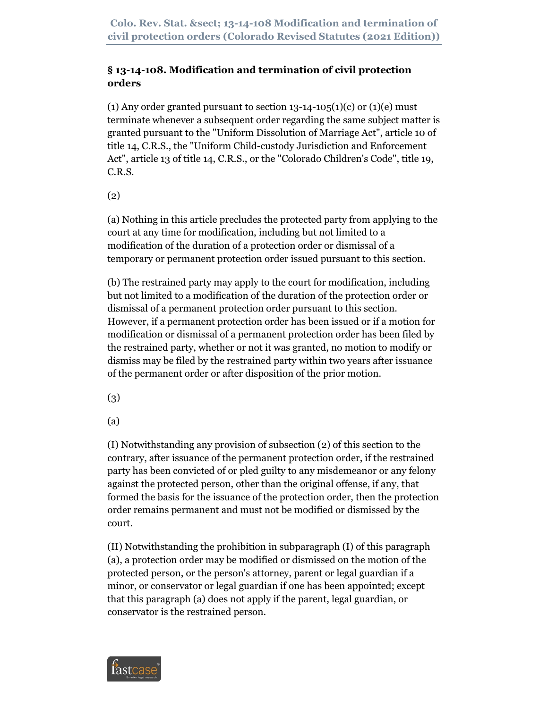# **§ 13-14-108. Modification and termination of civil protection orders**

(1) Any order granted pursuant to section  $13-14-105(1)(c)$  or  $(1)(e)$  must terminate whenever a subsequent order regarding the same subject matter is granted pursuant to the "Uniform Dissolution of Marriage Act", article 10 of title 14, C.R.S., the "Uniform Child-custody Jurisdiction and Enforcement Act", article 13 of title 14, C.R.S., or the "Colorado Children's Code", title 19, C.R.S.

(2)

(a) Nothing in this article precludes the protected party from applying to the court at any time for modification, including but not limited to a modification of the duration of a protection order or dismissal of a temporary or permanent protection order issued pursuant to this section.

(b) The restrained party may apply to the court for modification, including but not limited to a modification of the duration of the protection order or dismissal of a permanent protection order pursuant to this section. However, if a permanent protection order has been issued or if a motion for modification or dismissal of a permanent protection order has been filed by the restrained party, whether or not it was granted, no motion to modify or dismiss may be filed by the restrained party within two years after issuance of the permanent order or after disposition of the prior motion.

(3)

(a)

(I) Notwithstanding any provision of subsection (2) of this section to the contrary, after issuance of the permanent protection order, if the restrained party has been convicted of or pled guilty to any misdemeanor or any felony against the protected person, other than the original offense, if any, that formed the basis for the issuance of the protection order, then the protection order remains permanent and must not be modified or dismissed by the court.

(II) Notwithstanding the prohibition in subparagraph (I) of this paragraph (a), a protection order may be modified or dismissed on the motion of the protected person, or the person's attorney, parent or legal guardian if a minor, or conservator or legal guardian if one has been appointed; except that this paragraph (a) does not apply if the parent, legal guardian, or conservator is the restrained person.

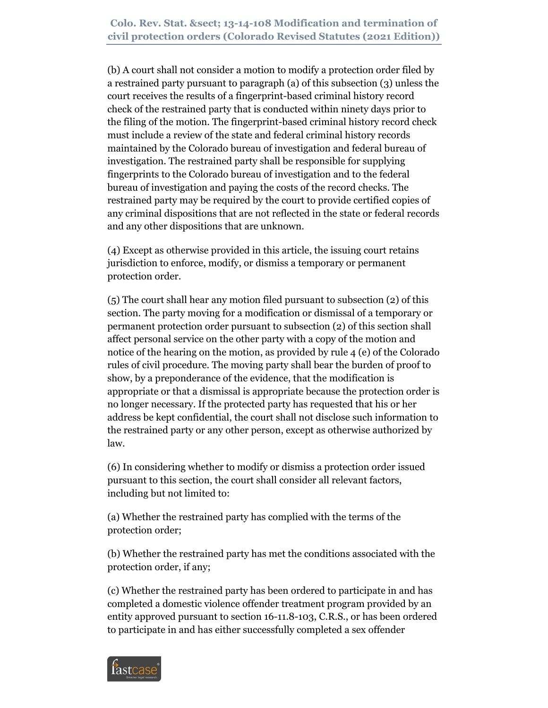**Colo. Rev. Stat. § 13-14-108 Modification and termination of civil protection orders (Colorado Revised Statutes (2021 Edition))**

(b) A court shall not consider a motion to modify a protection order filed by a restrained party pursuant to paragraph (a) of this subsection (3) unless the court receives the results of a fingerprint-based criminal history record check of the restrained party that is conducted within ninety days prior to the filing of the motion. The fingerprint-based criminal history record check must include a review of the state and federal criminal history records maintained by the Colorado bureau of investigation and federal bureau of investigation. The restrained party shall be responsible for supplying fingerprints to the Colorado bureau of investigation and to the federal bureau of investigation and paying the costs of the record checks. The restrained party may be required by the court to provide certified copies of any criminal dispositions that are not reflected in the state or federal records and any other dispositions that are unknown.

(4) Except as otherwise provided in this article, the issuing court retains jurisdiction to enforce, modify, or dismiss a temporary or permanent protection order.

(5) The court shall hear any motion filed pursuant to subsection (2) of this section. The party moving for a modification or dismissal of a temporary or permanent protection order pursuant to subsection (2) of this section shall affect personal service on the other party with a copy of the motion and notice of the hearing on the motion, as provided by rule 4 (e) of the Colorado rules of civil procedure. The moving party shall bear the burden of proof to show, by a preponderance of the evidence, that the modification is appropriate or that a dismissal is appropriate because the protection order is no longer necessary. If the protected party has requested that his or her address be kept confidential, the court shall not disclose such information to the restrained party or any other person, except as otherwise authorized by law.

(6) In considering whether to modify or dismiss a protection order issued pursuant to this section, the court shall consider all relevant factors, including but not limited to:

(a) Whether the restrained party has complied with the terms of the protection order;

(b) Whether the restrained party has met the conditions associated with the protection order, if any;

(c) Whether the restrained party has been ordered to participate in and has completed a domestic violence offender treatment program provided by an entity approved pursuant to section 16-11.8-103, C.R.S., or has been ordered to participate in and has either successfully completed a sex offender

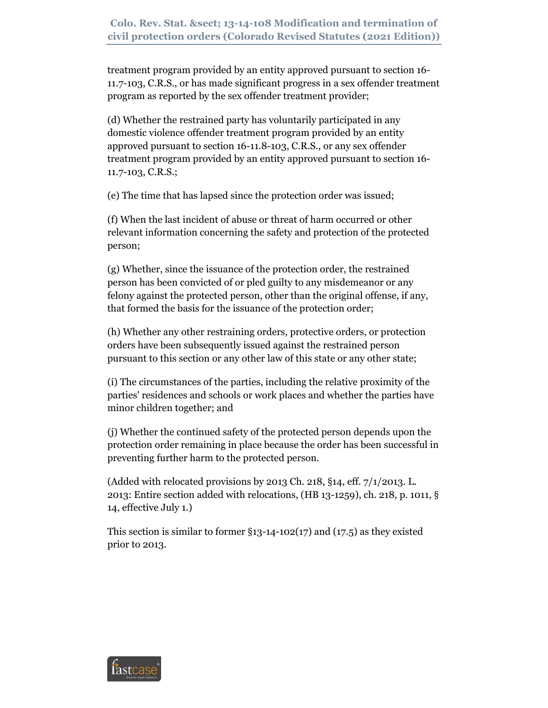treatment program provided by an entity approved pursuant to section 16- 11.7-103, C.R.S., or has made significant progress in a sex offender treatment program as reported by the sex offender treatment provider;

(d) Whether the restrained party has voluntarily participated in any domestic violence offender treatment program provided by an entity approved pursuant to section 16-11.8-103, C.R.S., or any sex offender treatment program provided by an entity approved pursuant to section 16- 11.7-103, C.R.S.;

(e) The time that has lapsed since the protection order was issued;

(f) When the last incident of abuse or threat of harm occurred or other relevant information concerning the safety and protection of the protected person;

(g) Whether, since the issuance of the protection order, the restrained person has been convicted of or pled guilty to any misdemeanor or any felony against the protected person, other than the original offense, if any, that formed the basis for the issuance of the protection order;

(h) Whether any other restraining orders, protective orders, or protection orders have been subsequently issued against the restrained person pursuant to this section or any other law of this state or any other state;

(i) The circumstances of the parties, including the relative proximity of the parties' residences and schools or work places and whether the parties have minor children together; and

(j) Whether the continued safety of the protected person depends upon the protection order remaining in place because the order has been successful in preventing further harm to the protected person.

(Added with relocated provisions by 2013 Ch. 218, §14, eff. 7/1/2013. L. 2013: Entire section added with relocations, (HB 13-1259), ch. 218, p. 1011, § 14, effective July 1.)

This section is similar to former  $\S$ 13-14-102(17) and (17.5) as they existed prior to 2013.

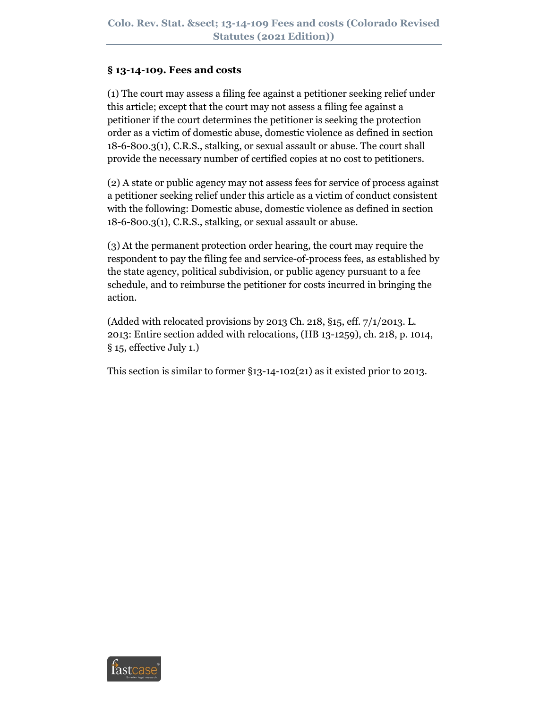### **§ 13-14-109. Fees and costs**

(1) The court may assess a filing fee against a petitioner seeking relief under this article; except that the court may not assess a filing fee against a petitioner if the court determines the petitioner is seeking the protection order as a victim of domestic abuse, domestic violence as defined in section 18-6-800.3(1), C.R.S., stalking, or sexual assault or abuse. The court shall provide the necessary number of certified copies at no cost to petitioners.

(2) A state or public agency may not assess fees for service of process against a petitioner seeking relief under this article as a victim of conduct consistent with the following: Domestic abuse, domestic violence as defined in section 18-6-800.3(1), C.R.S., stalking, or sexual assault or abuse.

(3) At the permanent protection order hearing, the court may require the respondent to pay the filing fee and service-of-process fees, as established by the state agency, political subdivision, or public agency pursuant to a fee schedule, and to reimburse the petitioner for costs incurred in bringing the action.

(Added with relocated provisions by 2013 Ch. 218, §15, eff. 7/1/2013. L. 2013: Entire section added with relocations, (HB 13-1259), ch. 218, p. 1014, § 15, effective July 1.)

This section is similar to former §13-14-102(21) as it existed prior to 2013.

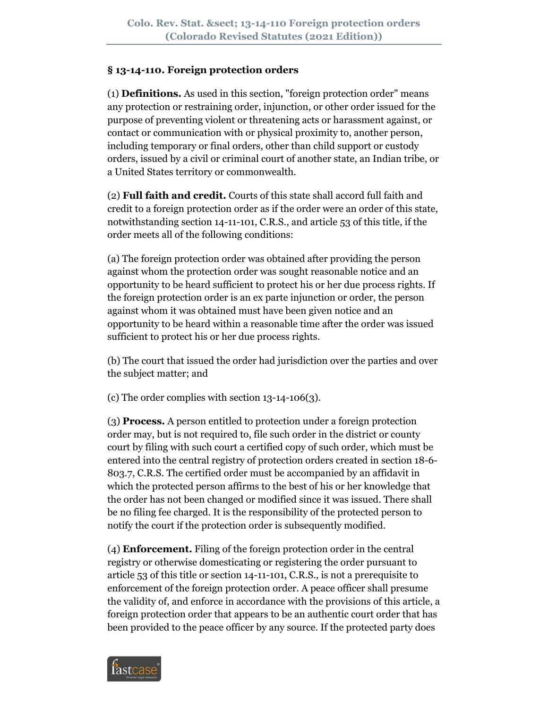#### **§ 13-14-110. Foreign protection orders**

(1) **Definitions.** As used in this section, "foreign protection order" means any protection or restraining order, injunction, or other order issued for the purpose of preventing violent or threatening acts or harassment against, or contact or communication with or physical proximity to, another person, including temporary or final orders, other than child support or custody orders, issued by a civil or criminal court of another state, an Indian tribe, or a United States territory or commonwealth.

(2) **Full faith and credit.** Courts of this state shall accord full faith and credit to a foreign protection order as if the order were an order of this state, notwithstanding section 14-11-101, C.R.S., and article 53 of this title, if the order meets all of the following conditions:

(a) The foreign protection order was obtained after providing the person against whom the protection order was sought reasonable notice and an opportunity to be heard sufficient to protect his or her due process rights. If the foreign protection order is an ex parte injunction or order, the person against whom it was obtained must have been given notice and an opportunity to be heard within a reasonable time after the order was issued sufficient to protect his or her due process rights.

(b) The court that issued the order had jurisdiction over the parties and over the subject matter; and

(c) The order complies with section 13-14-106(3).

(3) **Process.** A person entitled to protection under a foreign protection order may, but is not required to, file such order in the district or county court by filing with such court a certified copy of such order, which must be entered into the central registry of protection orders created in section 18-6- 803.7, C.R.S. The certified order must be accompanied by an affidavit in which the protected person affirms to the best of his or her knowledge that the order has not been changed or modified since it was issued. There shall be no filing fee charged. It is the responsibility of the protected person to notify the court if the protection order is subsequently modified.

(4) **Enforcement.** Filing of the foreign protection order in the central registry or otherwise domesticating or registering the order pursuant to article 53 of this title or section 14-11-101, C.R.S., is not a prerequisite to enforcement of the foreign protection order. A peace officer shall presume the validity of, and enforce in accordance with the provisions of this article, a foreign protection order that appears to be an authentic court order that has been provided to the peace officer by any source. If the protected party does